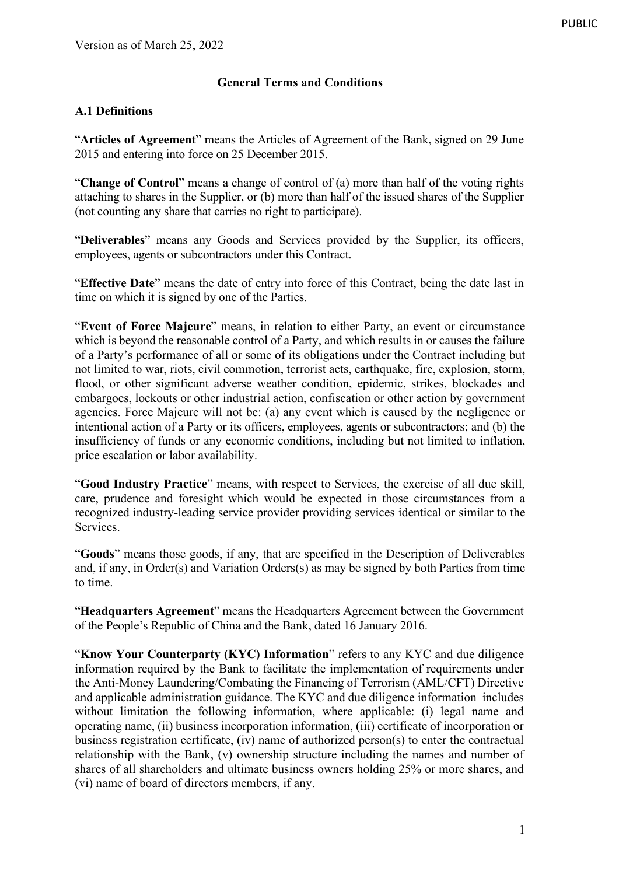# **General Terms and Conditions**

### **A.1 Definitions**

"**Articles of Agreement**" means the Articles of Agreement of the Bank, signed on 29 June 2015 and entering into force on 25 December 2015.

"**Change of Control**" means a change of control of (a) more than half of the voting rights attaching to shares in the Supplier, or (b) more than half of the issued shares of the Supplier (not counting any share that carries no right to participate).

"**Deliverables**" means any Goods and Services provided by the Supplier, its officers, employees, agents or subcontractors under this Contract.

"**Effective Date**" means the date of entry into force of this Contract, being the date last in time on which it is signed by one of the Parties.

"**Event of Force Majeure**" means, in relation to either Party, an event or circumstance which is beyond the reasonable control of a Party, and which results in or causes the failure of a Party's performance of all or some of its obligations under the Contract including but not limited to war, riots, civil commotion, terrorist acts, earthquake, fire, explosion, storm, flood, or other significant adverse weather condition, epidemic, strikes, blockades and embargoes, lockouts or other industrial action, confiscation or other action by government agencies. Force Majeure will not be: (a) any event which is caused by the negligence or intentional action of a Party or its officers, employees, agents or subcontractors; and (b) the insufficiency of funds or any economic conditions, including but not limited to inflation, price escalation or labor availability.

"**Good Industry Practice**" means, with respect to Services, the exercise of all due skill, care, prudence and foresight which would be expected in those circumstances from a recognized industry-leading service provider providing services identical or similar to the Services.

"**Goods**" means those goods, if any, that are specified in the Description of Deliverables and, if any, in Order(s) and Variation Orders(s) as may be signed by both Parties from time to time.

"**Headquarters Agreement**" means the Headquarters Agreement between the Government of the People's Republic of China and the Bank, dated 16 January 2016.

"**Know Your Counterparty (KYC) Information**" refers to any KYC and due diligence information required by the Bank to facilitate the implementation of requirements under the Anti-Money Laundering/Combating the Financing of Terrorism (AML/CFT) Directive and applicable administration guidance. The KYC and due diligence information includes without limitation the following information, where applicable: (i) legal name and operating name, (ii) business incorporation information, (iii) certificate of incorporation or business registration certificate, (iv) name of authorized person(s) to enter the contractual relationship with the Bank, (v) ownership structure including the names and number of shares of all shareholders and ultimate business owners holding 25% or more shares, and (vi) name of board of directors members, if any.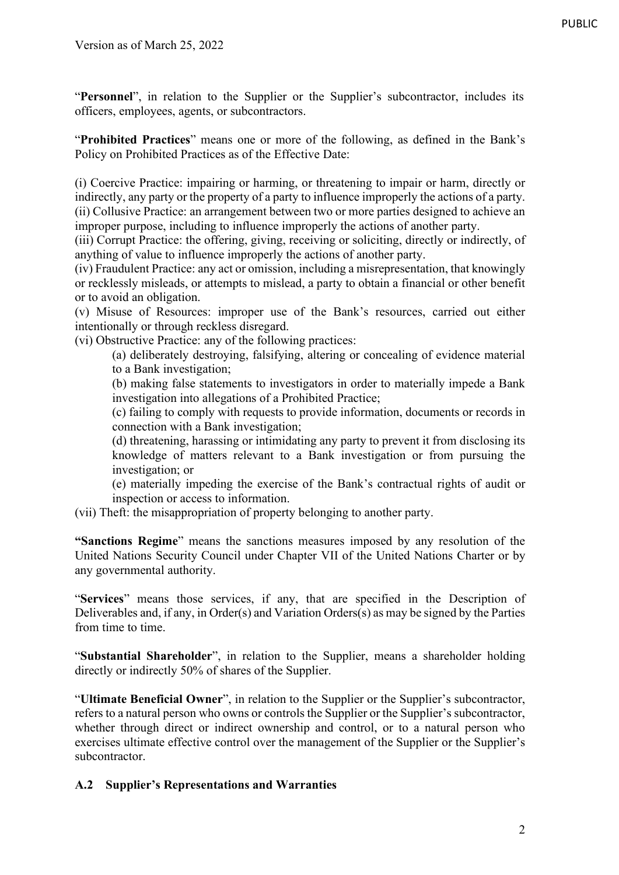"**Personnel**", in relation to the Supplier or the Supplier's subcontractor, includes its officers, employees, agents, or subcontractors.

"**Prohibited Practices**" means one or more of the following, as defined in the Bank's Policy on Prohibited Practices as of the Effective Date:

(i) Coercive Practice: impairing or harming, or threatening to impair or harm, directly or indirectly, any party or the property of a party to influence improperly the actions of a party. (ii) Collusive Practice: an arrangement between two or more parties designed to achieve an improper purpose, including to influence improperly the actions of another party.

(iii) Corrupt Practice: the offering, giving, receiving or soliciting, directly or indirectly, of anything of value to influence improperly the actions of another party.

(iv) Fraudulent Practice: any act or omission, including a misrepresentation, that knowingly or recklessly misleads, or attempts to mislead, a party to obtain a financial or other benefit or to avoid an obligation.

(v) Misuse of Resources: improper use of the Bank's resources, carried out either intentionally or through reckless disregard.

(vi) Obstructive Practice: any of the following practices:

(a) deliberately destroying, falsifying, altering or concealing of evidence material to a Bank investigation;

(b) making false statements to investigators in order to materially impede a Bank investigation into allegations of a Prohibited Practice;

(c) failing to comply with requests to provide information, documents or records in connection with a Bank investigation;

(d) threatening, harassing or intimidating any party to prevent it from disclosing its knowledge of matters relevant to a Bank investigation or from pursuing the investigation; or

(e) materially impeding the exercise of the Bank's contractual rights of audit or inspection or access to information.

(vii) Theft: the misappropriation of property belonging to another party.

**"Sanctions Regime**" means the sanctions measures imposed by any resolution of the United Nations Security Council under Chapter VII of the United Nations Charter or by any governmental authority.

"**Services**" means those services, if any, that are specified in the Description of Deliverables and, if any, in Order(s) and Variation Orders(s) as may be signed by the Parties from time to time.

"**Substantial Shareholder**", in relation to the Supplier, means a shareholder holding directly or indirectly 50% of shares of the Supplier.

"**Ultimate Beneficial Owner**", in relation to the Supplier or the Supplier's subcontractor, refers to a natural person who owns or controls the Supplier or the Supplier's subcontractor, whether through direct or indirect ownership and control, or to a natural person who exercises ultimate effective control over the management of the Supplier or the Supplier's subcontractor.

## **A.2 Supplier's Representations and Warranties**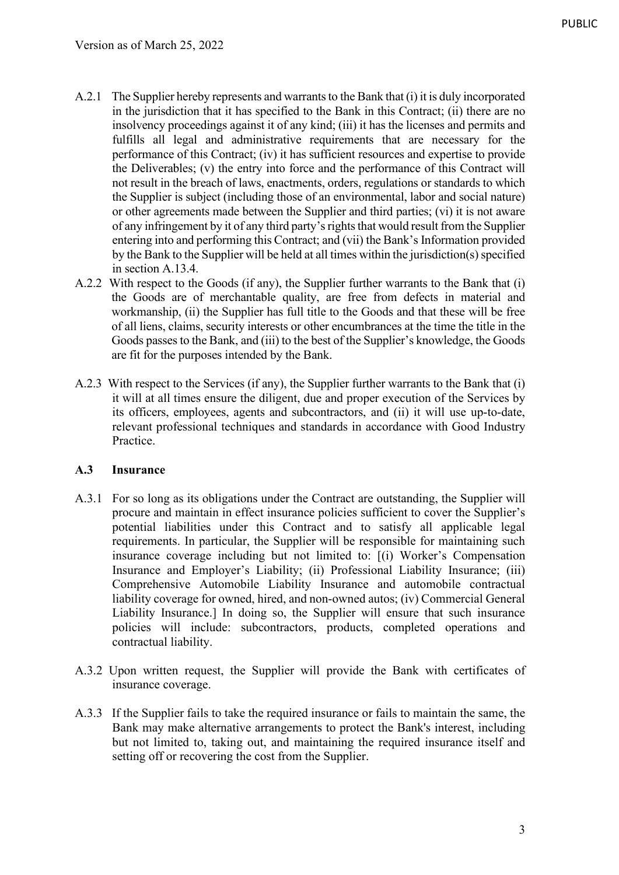- A.2.1 The Supplier hereby represents and warrants to the Bank that (i) it is duly incorporated in the jurisdiction that it has specified to the Bank in this Contract; (ii) there are no insolvency proceedings against it of any kind; (iii) it has the licenses and permits and fulfills all legal and administrative requirements that are necessary for the performance of this Contract; (iv) it has sufficient resources and expertise to provide the Deliverables; (v) the entry into force and the performance of this Contract will not result in the breach of laws, enactments, orders, regulations or standards to which the Supplier is subject (including those of an environmental, labor and social nature) or other agreements made between the Supplier and third parties; (vi) it is not aware of any infringement by it of any third party's rights that would result from the Supplier entering into and performing this Contract; and (vii) the Bank's Information provided by the Bank to the Supplier will be held at all times within the jurisdiction(s) specified in section A.13.4.
- A.2.2 With respect to the Goods (if any), the Supplier further warrants to the Bank that (i) the Goods are of merchantable quality, are free from defects in material and workmanship, (ii) the Supplier has full title to the Goods and that these will be free of all liens, claims, security interests or other encumbrances at the time the title in the Goods passes to the Bank, and (iii) to the best of the Supplier's knowledge, the Goods are fit for the purposes intended by the Bank.
- A.2.3 With respect to the Services (if any), the Supplier further warrants to the Bank that (i) it will at all times ensure the diligent, due and proper execution of the Services by its officers, employees, agents and subcontractors, and (ii) it will use up-to-date, relevant professional techniques and standards in accordance with Good Industry Practice.

## **A.3 Insurance**

- A.3.1 For so long as its obligations under the Contract are outstanding, the Supplier will procure and maintain in effect insurance policies sufficient to cover the Supplier's potential liabilities under this Contract and to satisfy all applicable legal requirements. In particular, the Supplier will be responsible for maintaining such insurance coverage including but not limited to: [(i) Worker's Compensation Insurance and Employer's Liability; (ii) Professional Liability Insurance; (iii) Comprehensive Automobile Liability Insurance and automobile contractual liability coverage for owned, hired, and non-owned autos; (iv) Commercial General Liability Insurance.] In doing so, the Supplier will ensure that such insurance policies will include: subcontractors, products, completed operations and contractual liability.
- A.3.2 Upon written request, the Supplier will provide the Bank with certificates of insurance coverage.
- A.3.3 If the Supplier fails to take the required insurance or fails to maintain the same, the Bank may make alternative arrangements to protect the Bank's interest, including but not limited to, taking out, and maintaining the required insurance itself and setting off or recovering the cost from the Supplier.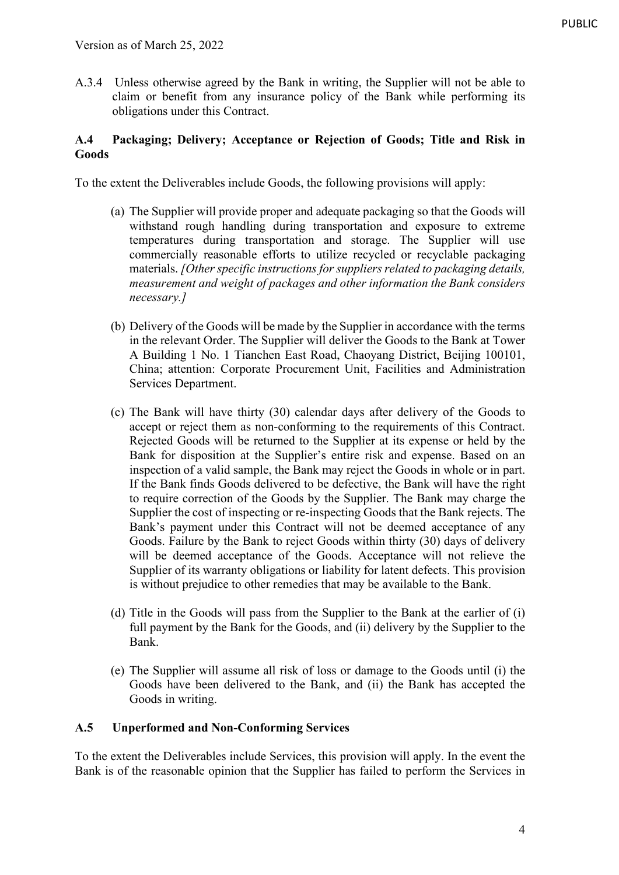A.3.4 Unless otherwise agreed by the Bank in writing, the Supplier will not be able to claim or benefit from any insurance policy of the Bank while performing its obligations under this Contract.

## **A.4 Packaging; Delivery; Acceptance or Rejection of Goods; Title and Risk in Goods**

To the extent the Deliverables include Goods, the following provisions will apply:

- (a) The Supplier will provide proper and adequate packaging so that the Goods will withstand rough handling during transportation and exposure to extreme temperatures during transportation and storage. The Supplier will use commercially reasonable efforts to utilize recycled or recyclable packaging materials. *[Other specific instructions for suppliers related to packaging details, measurement and weight of packages and other information the Bank considers necessary.]*
- (b) Delivery of the Goods will be made by the Supplier in accordance with the terms in the relevant Order. The Supplier will deliver the Goods to the Bank at Tower A Building 1 No. 1 Tianchen East Road, Chaoyang District, Beijing 100101, China; attention: Corporate Procurement Unit, Facilities and Administration Services Department.
- (c) The Bank will have thirty (30) calendar days after delivery of the Goods to accept or reject them as non-conforming to the requirements of this Contract. Rejected Goods will be returned to the Supplier at its expense or held by the Bank for disposition at the Supplier's entire risk and expense. Based on an inspection of a valid sample, the Bank may reject the Goods in whole or in part. If the Bank finds Goods delivered to be defective, the Bank will have the right to require correction of the Goods by the Supplier. The Bank may charge the Supplier the cost of inspecting or re-inspecting Goods that the Bank rejects. The Bank's payment under this Contract will not be deemed acceptance of any Goods. Failure by the Bank to reject Goods within thirty (30) days of delivery will be deemed acceptance of the Goods. Acceptance will not relieve the Supplier of its warranty obligations or liability for latent defects. This provision is without prejudice to other remedies that may be available to the Bank.
- (d) Title in the Goods will pass from the Supplier to the Bank at the earlier of (i) full payment by the Bank for the Goods, and (ii) delivery by the Supplier to the Bank.
- (e) The Supplier will assume all risk of loss or damage to the Goods until (i) the Goods have been delivered to the Bank, and (ii) the Bank has accepted the Goods in writing.

## **A.5 Unperformed and Non-Conforming Services**

To the extent the Deliverables include Services, this provision will apply. In the event the Bank is of the reasonable opinion that the Supplier has failed to perform the Services in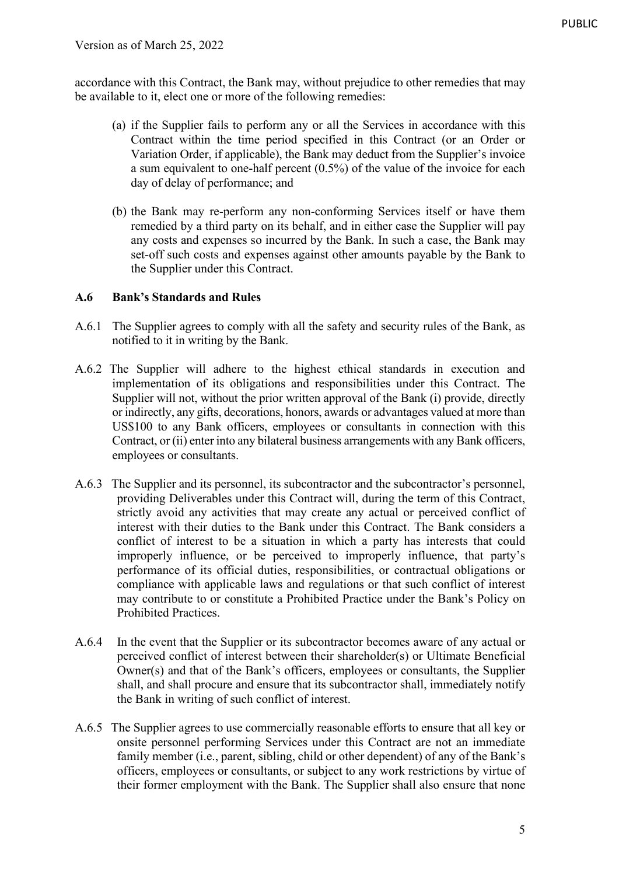accordance with this Contract, the Bank may, without prejudice to other remedies that may be available to it, elect one or more of the following remedies:

- (a) if the Supplier fails to perform any or all the Services in accordance with this Contract within the time period specified in this Contract (or an Order or Variation Order, if applicable), the Bank may deduct from the Supplier's invoice a sum equivalent to one-half percent (0.5%) of the value of the invoice for each day of delay of performance; and
- (b) the Bank may re-perform any non-conforming Services itself or have them remedied by a third party on its behalf, and in either case the Supplier will pay any costs and expenses so incurred by the Bank. In such a case, the Bank may set-off such costs and expenses against other amounts payable by the Bank to the Supplier under this Contract.

## **A.6 Bank's Standards and Rules**

- A.6.1 The Supplier agrees to comply with all the safety and security rules of the Bank, as notified to it in writing by the Bank.
- A.6.2 The Supplier will adhere to the highest ethical standards in execution and implementation of its obligations and responsibilities under this Contract. The Supplier will not, without the prior written approval of the Bank (i) provide, directly or indirectly, any gifts, decorations, honors, awards or advantages valued at more than US\$100 to any Bank officers, employees or consultants in connection with this Contract, or (ii) enter into any bilateral business arrangements with any Bank officers, employees or consultants.
- A.6.3 The Supplier and its personnel, its subcontractor and the subcontractor's personnel, providing Deliverables under this Contract will, during the term of this Contract, strictly avoid any activities that may create any actual or perceived conflict of interest with their duties to the Bank under this Contract. The Bank considers a conflict of interest to be a situation in which a party has interests that could improperly influence, or be perceived to improperly influence, that party's performance of its official duties, responsibilities, or contractual obligations or compliance with applicable laws and regulations or that such conflict of interest may contribute to or constitute a Prohibited Practice under the Bank's Policy on Prohibited Practices.
- A.6.4 In the event that the Supplier or its subcontractor becomes aware of any actual or perceived conflict of interest between their shareholder(s) or Ultimate Beneficial Owner(s) and that of the Bank's officers, employees or consultants, the Supplier shall, and shall procure and ensure that its subcontractor shall, immediately notify the Bank in writing of such conflict of interest.
- A.6.5 The Supplier agrees to use commercially reasonable efforts to ensure that all key or onsite personnel performing Services under this Contract are not an immediate family member (i.e., parent, sibling, child or other dependent) of any of the Bank's officers, employees or consultants, or subject to any work restrictions by virtue of their former employment with the Bank. The Supplier shall also ensure that none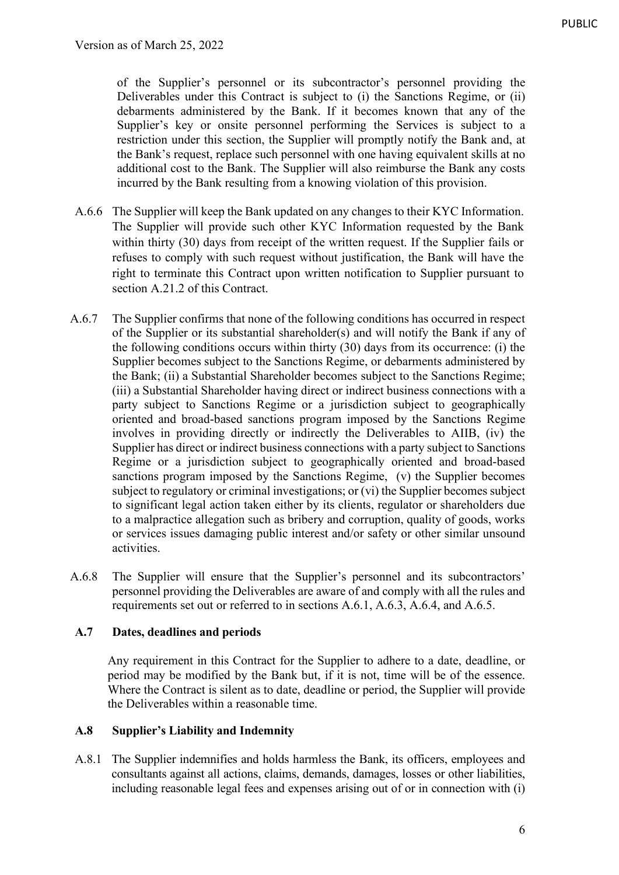of the Supplier's personnel or its subcontractor's personnel providing the Deliverables under this Contract is subject to (i) the Sanctions Regime, or (ii) debarments administered by the Bank. If it becomes known that any of the Supplier's key or onsite personnel performing the Services is subject to a restriction under this section, the Supplier will promptly notify the Bank and, at the Bank's request, replace such personnel with one having equivalent skills at no additional cost to the Bank. The Supplier will also reimburse the Bank any costs incurred by the Bank resulting from a knowing violation of this provision.

- A.6.6 The Supplier will keep the Bank updated on any changes to their KYC Information. The Supplier will provide such other KYC Information requested by the Bank within thirty (30) days from receipt of the written request. If the Supplier fails or refuses to comply with such request without justification, the Bank will have the right to terminate this Contract upon written notification to Supplier pursuant to section A.21.2 of this Contract.
- A.6.7 The Supplier confirms that none of the following conditions has occurred in respect of the Supplier or its substantial shareholder(s) and will notify the Bank if any of the following conditions occurs within thirty (30) days from its occurrence: (i) the Supplier becomes subject to the Sanctions Regime, or debarments administered by the Bank; (ii) a Substantial Shareholder becomes subject to the Sanctions Regime; (iii) a Substantial Shareholder having direct or indirect business connections with a party subject to Sanctions Regime or a jurisdiction subject to geographically oriented and broad-based sanctions program imposed by the Sanctions Regime involves in providing directly or indirectly the Deliverables to AIIB, (iv) the Supplier has direct or indirect business connections with a party subject to Sanctions Regime or a jurisdiction subject to geographically oriented and broad-based sanctions program imposed by the Sanctions Regime, (v) the Supplier becomes subject to regulatory or criminal investigations; or (vi) the Supplier becomes subject to significant legal action taken either by its clients, regulator or shareholders due to a malpractice allegation such as bribery and corruption, quality of goods, works or services issues damaging public interest and/or safety or other similar unsound activities.
- A.6.8 The Supplier will ensure that the Supplier's personnel and its subcontractors' personnel providing the Deliverables are aware of and comply with all the rules and requirements set out or referred to in sections A.6.1, A.6.3, A.6.4, and A.6.5.

#### **A.7 Dates, deadlines and periods**

Any requirement in this Contract for the Supplier to adhere to a date, deadline, or period may be modified by the Bank but, if it is not, time will be of the essence. Where the Contract is silent as to date, deadline or period, the Supplier will provide the Deliverables within a reasonable time.

#### **A.8 Supplier's Liability and Indemnity**

A.8.1 The Supplier indemnifies and holds harmless the Bank, its officers, employees and consultants against all actions, claims, demands, damages, losses or other liabilities, including reasonable legal fees and expenses arising out of or in connection with (i)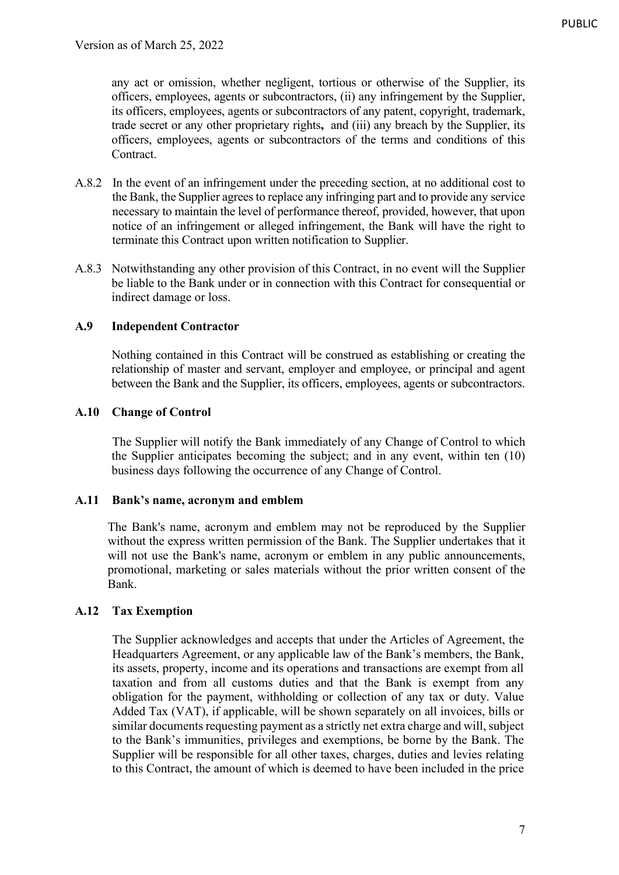any act or omission, whether negligent, tortious or otherwise of the Supplier, its officers, employees, agents or subcontractors, (ii) any infringement by the Supplier, its officers, employees, agents or subcontractors of any patent, copyright, trademark, trade secret or any other proprietary rights**,** and (iii) any breach by the Supplier, its officers, employees, agents or subcontractors of the terms and conditions of this Contract.

- A.8.2 In the event of an infringement under the preceding section, at no additional cost to the Bank, the Supplier agrees to replace any infringing part and to provide any service necessary to maintain the level of performance thereof, provided, however, that upon notice of an infringement or alleged infringement, the Bank will have the right to terminate this Contract upon written notification to Supplier.
- A.8.3 Notwithstanding any other provision of this Contract, in no event will the Supplier be liable to the Bank under or in connection with this Contract for consequential or indirect damage or loss.

#### **A.9 Independent Contractor**

Nothing contained in this Contract will be construed as establishing or creating the relationship of master and servant, employer and employee, or principal and agent between the Bank and the Supplier, its officers, employees, agents or subcontractors.

#### **A.10 Change of Control**

The Supplier will notify the Bank immediately of any Change of Control to which the Supplier anticipates becoming the subject; and in any event, within ten (10) business days following the occurrence of any Change of Control.

#### **A.11 Bank's name, acronym and emblem**

The Bank's name, acronym and emblem may not be reproduced by the Supplier without the express written permission of the Bank. The Supplier undertakes that it will not use the Bank's name, acronym or emblem in any public announcements, promotional, marketing or sales materials without the prior written consent of the Bank.

## **A.12 Tax Exemption**

The Supplier acknowledges and accepts that under the Articles of Agreement, the Headquarters Agreement, or any applicable law of the Bank's members, the Bank, its assets, property, income and its operations and transactions are exempt from all taxation and from all customs duties and that the Bank is exempt from any obligation for the payment, withholding or collection of any tax or duty. Value Added Tax (VAT), if applicable, will be shown separately on all invoices, bills or similar documents requesting payment as a strictly net extra charge and will, subject to the Bank's immunities, privileges and exemptions, be borne by the Bank. The Supplier will be responsible for all other taxes, charges, duties and levies relating to this Contract, the amount of which is deemed to have been included in the price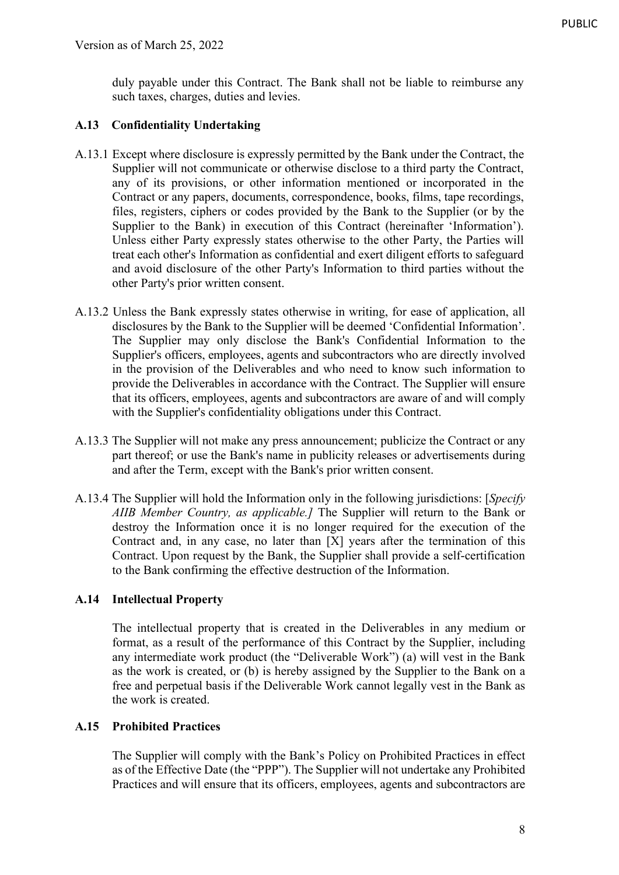duly payable under this Contract. The Bank shall not be liable to reimburse any such taxes, charges, duties and levies.

# **A.13 Confidentiality Undertaking**

- A.13.1 Except where disclosure is expressly permitted by the Bank under the Contract, the Supplier will not communicate or otherwise disclose to a third party the Contract, any of its provisions, or other information mentioned or incorporated in the Contract or any papers, documents, correspondence, books, films, tape recordings, files, registers, ciphers or codes provided by the Bank to the Supplier (or by the Supplier to the Bank) in execution of this Contract (hereinafter 'Information'). Unless either Party expressly states otherwise to the other Party, the Parties will treat each other's Information as confidential and exert diligent efforts to safeguard and avoid disclosure of the other Party's Information to third parties without the other Party's prior written consent.
- A.13.2 Unless the Bank expressly states otherwise in writing, for ease of application, all disclosures by the Bank to the Supplier will be deemed 'Confidential Information'. The Supplier may only disclose the Bank's Confidential Information to the Supplier's officers, employees, agents and subcontractors who are directly involved in the provision of the Deliverables and who need to know such information to provide the Deliverables in accordance with the Contract. The Supplier will ensure that its officers, employees, agents and subcontractors are aware of and will comply with the Supplier's confidentiality obligations under this Contract.
- A.13.3 The Supplier will not make any press announcement; publicize the Contract or any part thereof; or use the Bank's name in publicity releases or advertisements during and after the Term, except with the Bank's prior written consent.
- A.13.4 The Supplier will hold the Information only in the following jurisdictions: [*Specify AIIB Member Country, as applicable.]* The Supplier will return to the Bank or destroy the Information once it is no longer required for the execution of the Contract and, in any case, no later than [X] years after the termination of this Contract. Upon request by the Bank, the Supplier shall provide a self-certification to the Bank confirming the effective destruction of the Information.

## **A.14 Intellectual Property**

The intellectual property that is created in the Deliverables in any medium or format, as a result of the performance of this Contract by the Supplier, including any intermediate work product (the "Deliverable Work") (a) will vest in the Bank as the work is created, or (b) is hereby assigned by the Supplier to the Bank on a free and perpetual basis if the Deliverable Work cannot legally vest in the Bank as the work is created.

## **A.15 Prohibited Practices**

The Supplier will comply with the Bank's Policy on Prohibited Practices in effect as of the Effective Date (the "PPP"). The Supplier will not undertake any Prohibited Practices and will ensure that its officers, employees, agents and subcontractors are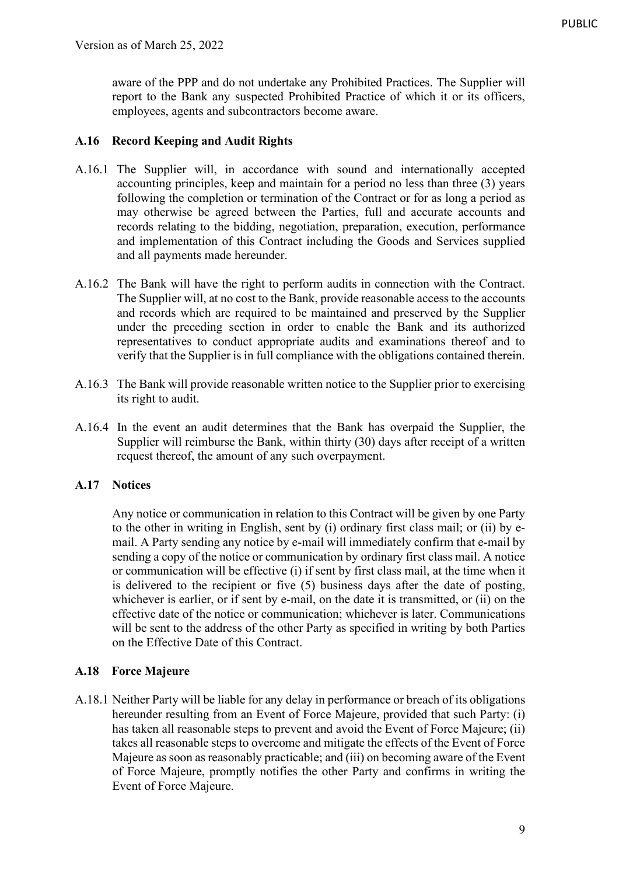aware of the PPP and do not undertake any Prohibited Practices. The Supplier will report to the Bank any suspected Prohibited Practice of which it or its officers, employees, agents and subcontractors become aware.

#### **A.16 Record Keeping and Audit Rights**

- A.16.1 The Supplier will, in accordance with sound and internationally accepted accounting principles, keep and maintain for a period no less than three (3) years following the completion or termination of the Contract or for as long a period as may otherwise be agreed between the Parties, full and accurate accounts and records relating to the bidding, negotiation, preparation, execution, performance and implementation of this Contract including the Goods and Services supplied and all payments made hereunder.
- A.16.2 The Bank will have the right to perform audits in connection with the Contract. The Supplier will, at no cost to the Bank, provide reasonable access to the accounts and records which are required to be maintained and preserved by the Supplier under the preceding section in order to enable the Bank and its authorized representatives to conduct appropriate audits and examinations thereof and to verify that the Supplier is in full compliance with the obligations contained therein.
- A.16.3 The Bank will provide reasonable written notice to the Supplier prior to exercising its right to audit.
- A.16.4 In the event an audit determines that the Bank has overpaid the Supplier, the Supplier will reimburse the Bank, within thirty (30) days after receipt of a written request thereof, the amount of any such overpayment.

#### **A.17 Notices**

Any notice or communication in relation to this Contract will be given by one Party to the other in writing in English, sent by (i) ordinary first class mail; or (ii) by email. A Party sending any notice by e-mail will immediately confirm that e-mail by sending a copy of the notice or communication by ordinary first class mail. A notice or communication will be effective (i) if sent by first class mail, at the time when it is delivered to the recipient or five (5) business days after the date of posting, whichever is earlier, or if sent by e-mail, on the date it is transmitted, or (ii) on the effective date of the notice or communication; whichever is later. Communications will be sent to the address of the other Party as specified in writing by both Parties on the Effective Date of this Contract.

#### **A.18 Force Majeure**

A.18.1 Neither Party will be liable for any delay in performance or breach of its obligations hereunder resulting from an Event of Force Majeure, provided that such Party: (i) has taken all reasonable steps to prevent and avoid the Event of Force Majeure; (ii) takes all reasonable steps to overcome and mitigate the effects of the Event of Force Majeure as soon as reasonably practicable; and (iii) on becoming aware of the Event of Force Majeure, promptly notifies the other Party and confirms in writing the Event of Force Majeure.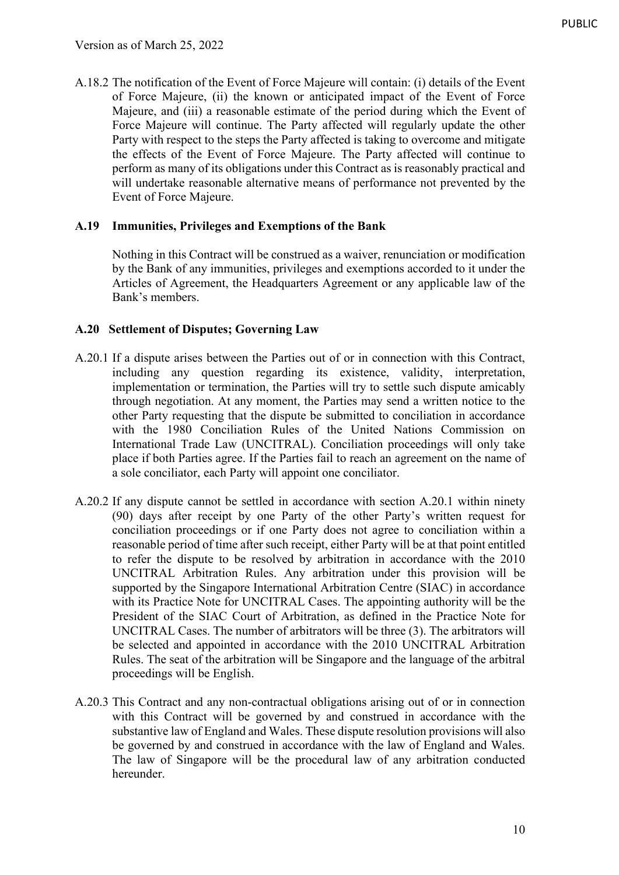A.18.2 The notification of the Event of Force Majeure will contain: (i) details of the Event of Force Majeure, (ii) the known or anticipated impact of the Event of Force Majeure, and (iii) a reasonable estimate of the period during which the Event of Force Majeure will continue. The Party affected will regularly update the other Party with respect to the steps the Party affected is taking to overcome and mitigate the effects of the Event of Force Majeure. The Party affected will continue to perform as many of its obligations under this Contract as is reasonably practical and will undertake reasonable alternative means of performance not prevented by the Event of Force Majeure.

## **A.19 Immunities, Privileges and Exemptions of the Bank**

Nothing in this Contract will be construed as a waiver, renunciation or modification by the Bank of any immunities, privileges and exemptions accorded to it under the Articles of Agreement, the Headquarters Agreement or any applicable law of the Bank's members.

#### **A.20 Settlement of Disputes; Governing Law**

- A.20.1 If a dispute arises between the Parties out of or in connection with this Contract, including any question regarding its existence, validity, interpretation, implementation or termination, the Parties will try to settle such dispute amicably through negotiation. At any moment, the Parties may send a written notice to the other Party requesting that the dispute be submitted to conciliation in accordance with the 1980 Conciliation Rules of the United Nations Commission on International Trade Law (UNCITRAL). Conciliation proceedings will only take place if both Parties agree. If the Parties fail to reach an agreement on the name of a sole conciliator, each Party will appoint one conciliator.
- A.20.2 If any dispute cannot be settled in accordance with section A.20.1 within ninety (90) days after receipt by one Party of the other Party's written request for conciliation proceedings or if one Party does not agree to conciliation within a reasonable period of time after such receipt, either Party will be at that point entitled to refer the dispute to be resolved by arbitration in accordance with the 2010 UNCITRAL Arbitration Rules. Any arbitration under this provision will be supported by the Singapore International Arbitration Centre (SIAC) in accordance with its Practice Note for UNCITRAL Cases. The appointing authority will be the President of the SIAC Court of Arbitration, as defined in the Practice Note for UNCITRAL Cases. The number of arbitrators will be three (3). The arbitrators will be selected and appointed in accordance with the 2010 UNCITRAL Arbitration Rules. The seat of the arbitration will be Singapore and the language of the arbitral proceedings will be English.
- A.20.3 This Contract and any non-contractual obligations arising out of or in connection with this Contract will be governed by and construed in accordance with the substantive law of England and Wales. These dispute resolution provisions will also be governed by and construed in accordance with the law of England and Wales. The law of Singapore will be the procedural law of any arbitration conducted hereunder.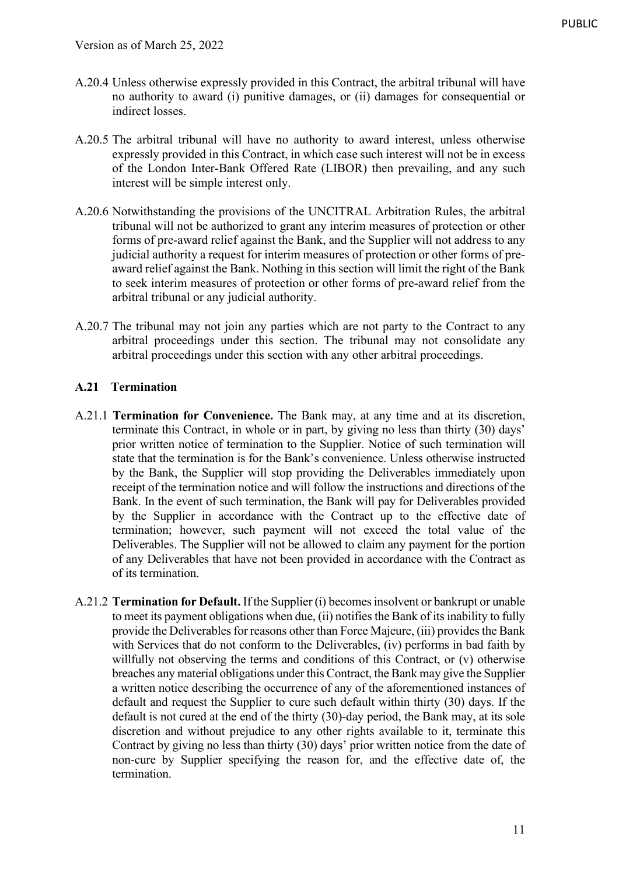- A.20.4 Unless otherwise expressly provided in this Contract, the arbitral tribunal will have no authority to award (i) punitive damages, or (ii) damages for consequential or indirect losses.
- A.20.5 The arbitral tribunal will have no authority to award interest, unless otherwise expressly provided in this Contract, in which case such interest will not be in excess of the London Inter-Bank Offered Rate (LIBOR) then prevailing, and any such interest will be simple interest only.
- A.20.6 Notwithstanding the provisions of the UNCITRAL Arbitration Rules, the arbitral tribunal will not be authorized to grant any interim measures of protection or other forms of pre-award relief against the Bank, and the Supplier will not address to any judicial authority a request for interim measures of protection or other forms of preaward relief against the Bank. Nothing in this section will limit the right of the Bank to seek interim measures of protection or other forms of pre-award relief from the arbitral tribunal or any judicial authority.
- A.20.7 The tribunal may not join any parties which are not party to the Contract to any arbitral proceedings under this section. The tribunal may not consolidate any arbitral proceedings under this section with any other arbitral proceedings.

## **A.21 Termination**

- A.21.1 **Termination for Convenience.** The Bank may, at any time and at its discretion, terminate this Contract, in whole or in part, by giving no less than thirty (30) days' prior written notice of termination to the Supplier. Notice of such termination will state that the termination is for the Bank's convenience. Unless otherwise instructed by the Bank, the Supplier will stop providing the Deliverables immediately upon receipt of the termination notice and will follow the instructions and directions of the Bank. In the event of such termination, the Bank will pay for Deliverables provided by the Supplier in accordance with the Contract up to the effective date of termination; however, such payment will not exceed the total value of the Deliverables. The Supplier will not be allowed to claim any payment for the portion of any Deliverables that have not been provided in accordance with the Contract as of its termination.
- A.21.2 **Termination for Default.** If the Supplier (i) becomes insolvent or bankrupt or unable to meet its payment obligations when due, (ii) notifies the Bank of its inability to fully provide the Deliverables for reasons other than Force Majeure, (iii) provides the Bank with Services that do not conform to the Deliverables, (iv) performs in bad faith by willfully not observing the terms and conditions of this Contract, or (v) otherwise breaches any material obligations under this Contract, the Bank may give the Supplier a written notice describing the occurrence of any of the aforementioned instances of default and request the Supplier to cure such default within thirty (30) days. If the default is not cured at the end of the thirty (30)-day period, the Bank may, at its sole discretion and without prejudice to any other rights available to it, terminate this Contract by giving no less than thirty (30) days' prior written notice from the date of non-cure by Supplier specifying the reason for, and the effective date of, the termination.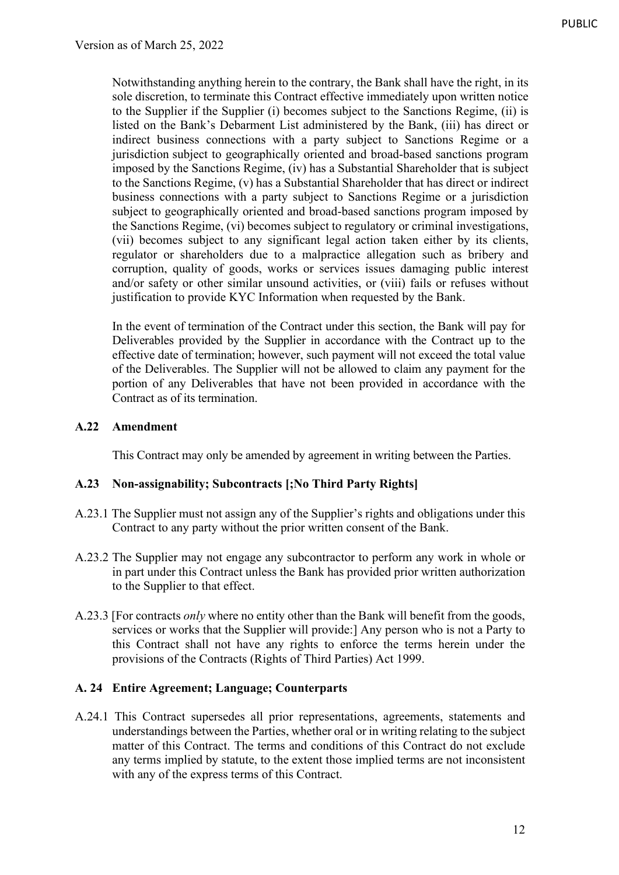Notwithstanding anything herein to the contrary, the Bank shall have the right, in its sole discretion, to terminate this Contract effective immediately upon written notice to the Supplier if the Supplier (i) becomes subject to the Sanctions Regime, (ii) is listed on the Bank's Debarment List administered by the Bank, (iii) has direct or indirect business connections with a party subject to Sanctions Regime or a jurisdiction subject to geographically oriented and broad-based sanctions program imposed by the Sanctions Regime, (iv) has a Substantial Shareholder that is subject to the Sanctions Regime, (v) has a Substantial Shareholder that has direct or indirect business connections with a party subject to Sanctions Regime or a jurisdiction subject to geographically oriented and broad-based sanctions program imposed by the Sanctions Regime, (vi) becomes subject to regulatory or criminal investigations, (vii) becomes subject to any significant legal action taken either by its clients, regulator or shareholders due to a malpractice allegation such as bribery and corruption, quality of goods, works or services issues damaging public interest and/or safety or other similar unsound activities, or (viii) fails or refuses without justification to provide KYC Information when requested by the Bank.

In the event of termination of the Contract under this section, the Bank will pay for Deliverables provided by the Supplier in accordance with the Contract up to the effective date of termination; however, such payment will not exceed the total value of the Deliverables. The Supplier will not be allowed to claim any payment for the portion of any Deliverables that have not been provided in accordance with the Contract as of its termination.

#### **A.22 Amendment**

This Contract may only be amended by agreement in writing between the Parties.

#### **A.23 Non-assignability; Subcontracts [;No Third Party Rights]**

- A.23.1 The Supplier must not assign any of the Supplier's rights and obligations under this Contract to any party without the prior written consent of the Bank.
- A.23.2 The Supplier may not engage any subcontractor to perform any work in whole or in part under this Contract unless the Bank has provided prior written authorization to the Supplier to that effect.
- A.23.3 [For contracts *only* where no entity other than the Bank will benefit from the goods, services or works that the Supplier will provide:] Any person who is not a Party to this Contract shall not have any rights to enforce the terms herein under the provisions of the Contracts (Rights of Third Parties) Act 1999.

#### **A. 24 Entire Agreement; Language; Counterparts**

A.24.1 This Contract supersedes all prior representations, agreements, statements and understandings between the Parties, whether oral or in writing relating to the subject matter of this Contract. The terms and conditions of this Contract do not exclude any terms implied by statute, to the extent those implied terms are not inconsistent with any of the express terms of this Contract.